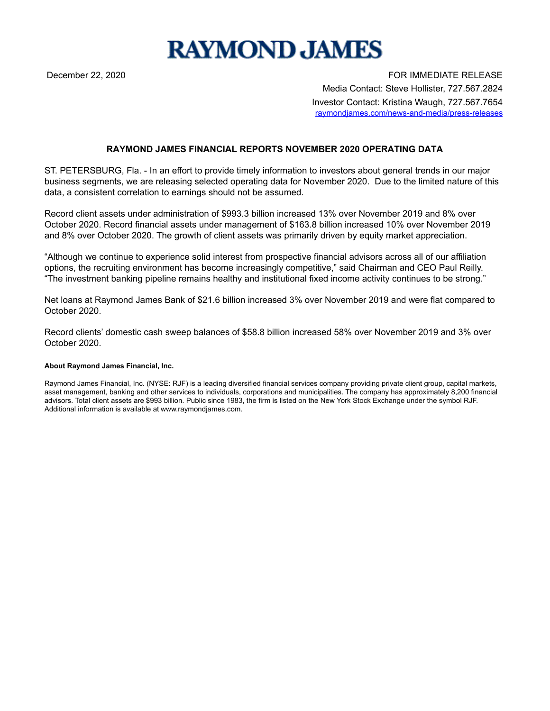## **RAYMOND JAMES**

December 22, 2020 FOR IMMEDIATE RELEASE Media Contact: Steve Hollister, 727.567.2824 Investor Contact: Kristina Waugh, 727.567.7654 raymondjames.com/news-and-media/press-releases

## **RAYMOND JAMES FINANCIAL REPORTS NOVEMBER 2020 OPERATING DATA**

ST. PETERSBURG, Fla. - In an effort to provide timely information to investors about general trends in our major business segments, we are releasing selected operating data for November 2020. Due to the limited nature of this data, a consistent correlation to earnings should not be assumed.

Record client assets under administration of \$993.3 billion increased 13% over November 2019 and 8% over October 2020. Record financial assets under management of \$163.8 billion increased 10% over November 2019 and 8% over October 2020. The growth of client assets was primarily driven by equity market appreciation.

"Although we continue to experience solid interest from prospective financial advisors across all of our affiliation options, the recruiting environment has become increasingly competitive," said Chairman and CEO Paul Reilly. "The investment banking pipeline remains healthy and institutional fixed income activity continues to be strong."

Net loans at Raymond James Bank of \$21.6 billion increased 3% over November 2019 and were flat compared to October 2020.

Record clients' domestic cash sweep balances of \$58.8 billion increased 58% over November 2019 and 3% over October 2020.

## **About Raymond James Financial, Inc.**

Raymond James Financial, Inc. (NYSE: RJF) is a leading diversified financial services company providing private client group, capital markets, asset management, banking and other services to individuals, corporations and municipalities. The company has approximately 8,200 financial advisors. Total client assets are \$993 billion. Public since 1983, the firm is listed on the New York Stock Exchange under the symbol RJF. Additional information is available at www.raymondjames.com.